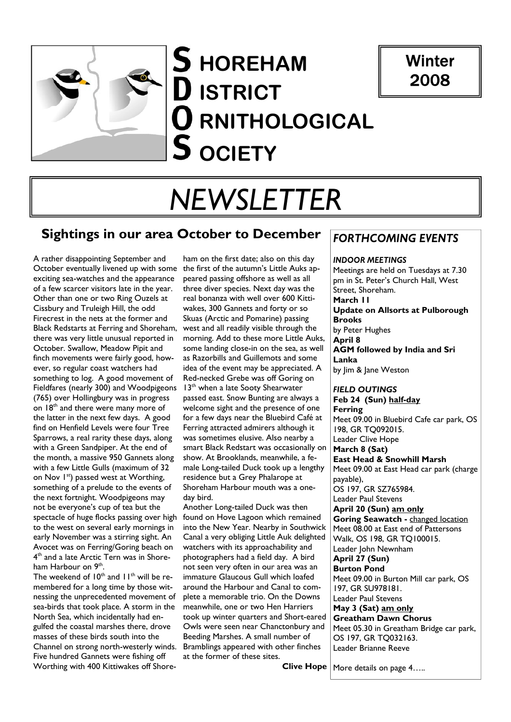



# *NEWSLETTER*

# **Sightings in our area October to December**

A rather disappointing September and October eventually livened up with some exciting sea-watches and the appearance of a few scarcer visitors late in the year. Other than one or two Ring Ouzels at Cissbury and Truleigh Hill, the odd Firecrest in the nets at the former and Black Redstarts at Ferring and Shoreham, there was very little unusual reported in October. Swallow, Meadow Pipit and finch movements were fairly good, however, so regular coast watchers had something to log. A good movement of Fieldfares (nearly 300) and Woodpigeons (765) over Hollingbury was in progress on 18<sup>th</sup> and there were many more of the latter in the next few days. A good find on Henfield Levels were four Tree Sparrows, a real rarity these days, along with a Green Sandpiper. At the end of the month, a massive 950 Gannets along with a few Little Gulls (maximum of 32 on Nov 1<sup>st</sup>) passed west at Worthing, something of a prelude to the events of the next fortnight. Woodpigeons may not be everyone's cup of tea but the spectacle of huge flocks passing over high to the west on several early mornings in early November was a stirring sight. An Avocet was on Ferring/Goring beach on 4<sup>th</sup> and a late Arctic Tern was in Shoreham Harbour on 9<sup>th</sup>.

The weekend of  $10^{th}$  and  $11^{th}$  will be remembered for a long time by those witnessing the unprecedented movement of sea-birds that took place. A storm in the North Sea, which incidentally had engulfed the coastal marshes there, drove masses of these birds south into the Channel on strong north-westerly winds. Five hundred Gannets were fishing off Worthing with 400 Kittiwakes off Shore-

ham on the first date; also on this day the first of the autumn's Little Auks appeared passing offshore as well as all three diver species. Next day was the real bonanza with well over 600 Kittiwakes, 300 Gannets and forty or so Skuas (Arctic and Pomarine) passing west and all readily visible through the morning. Add to these more Little Auks, some landing close-in on the sea, as well as Razorbills and Guillemots and some idea of the event may be appreciated. A Red-necked Grebe was off Goring on 13<sup>th</sup> when a late Sooty Shearwater passed east. Snow Bunting are always a welcome sight and the presence of one for a few days near the Bluebird Café at Ferring attracted admirers although it was sometimes elusive. Also nearby a smart Black Redstart was occasionally on show. At Brooklands, meanwhile, a female Long-tailed Duck took up a lengthy residence but a Grey Phalarope at Shoreham Harbour mouth was a oneday bird.

Another Long-tailed Duck was then found on Hove Lagoon which remained into the New Year. Nearby in Southwick Canal a very obliging Little Auk delighted watchers with its approachability and photographers had a field day. A bird not seen very often in our area was an immature Glaucous Gull which loafed around the Harbour and Canal to complete a memorable trio. On the Downs meanwhile, one or two Hen Harriers took up winter quarters and Short-eared Owls were seen near Chanctonbury and Beeding Marshes. A small number of Bramblings appeared with other finches at the former of these sites.

## *FORTHCOMING EVENTS*

*INDOOR MEETINGS* Meetings are held on Tuesdays at 7.30 pm in St. Peter's Church Hall, West Street, Shoreham. **March 11 Update on Allsorts at Pulborough Brooks** 

by Peter Hughes

**April 8** 

**AGM followed by India and Sri Lanka** 

by Jim & Jane Weston

#### *FIELD OUTINGS*

**Feb 24 (Sun) half-day Ferring**  Meet 09.00 in Bluebird Cafe car park, OS 198, GR TQ092015. Leader Clive Hope **March 8 (Sat) East Head & Snowhill Marsh** Meet 09.00 at East Head car park (charge payable), OS 197, GR SZ765984. Leader Paul Stevens **April 20 (Sun) am only Goring Seawatch -** changed location Meet 08.00 at East end of Pattersons Walk, OS 198, GR TO100015. Leader John Newnham **April 27 (Sun) Burton Pond**  Meet 09.00 in Burton Mill car park, OS 197, GR SU978181. Leader Paul Stevens **May 3 (Sat) am only Greatham Dawn Chorus**  Meet 05.30 in Greatham Bridge car park, OS 197, GR TQ032163. Leader Brianne Reeve

**Clive Hope** 

More details on page 4…..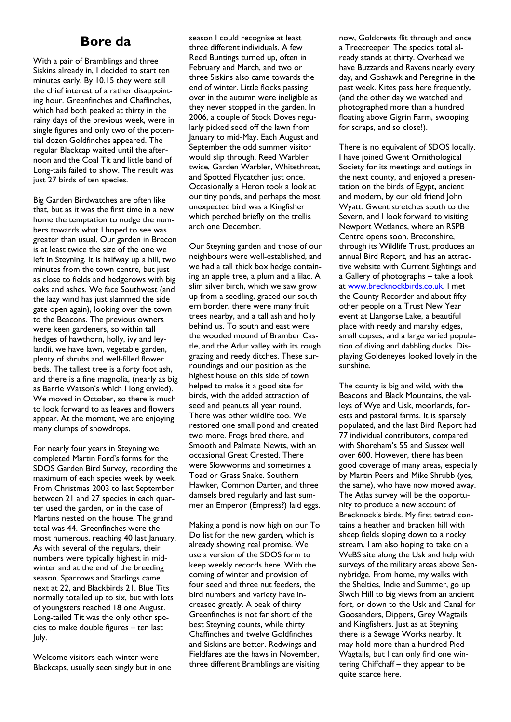# **Bore da**

With a pair of Bramblings and three Siskins already in, I decided to start ten minutes early. By 10.15 they were still the chief interest of a rather disappointing hour. Greenfinches and Chaffinches, which had both peaked at thirty in the rainy days of the previous week, were in single figures and only two of the potential dozen Goldfinches appeared. The regular Blackcap waited until the afternoon and the Coal Tit and little band of Long-tails failed to show. The result was just 27 birds of ten species.

Big Garden Birdwatches are often like that, but as it was the first time in a new home the temptation to nudge the numbers towards what I hoped to see was greater than usual. Our garden in Brecon is at least twice the size of the one we left in Steyning. It is halfway up a hill, two minutes from the town centre, but just as close to fields and hedgerows with big oaks and ashes. We face Southwest (and the lazy wind has just slammed the side gate open again), looking over the town to the Beacons. The previous owners were keen gardeners, so within tall hedges of hawthorn, holly, ivy and leylandii, we have lawn, vegetable garden, plenty of shrubs and well-filled flower beds. The tallest tree is a forty foot ash, and there is a fine magnolia, (nearly as big as Barrie Watson's which I long envied). We moved in October, so there is much to look forward to as leaves and flowers appear. At the moment, we are enjoying many clumps of snowdrops.

For nearly four years in Steyning we completed Martin Ford's forms for the SDOS Garden Bird Survey, recording the maximum of each species week by week. From Christmas 2003 to last September between 21 and 27 species in each quarter used the garden, or in the case of Martins nested on the house. The grand total was 44. Greenfinches were the most numerous, reaching 40 last January. As with several of the regulars, their numbers were typically highest in midwinter and at the end of the breeding season. Sparrows and Starlings came next at 22, and Blackbirds 21. Blue Tits normally totalled up to six, but with lots of youngsters reached 18 one August. Long-tailed Tit was the only other species to make double figures – ten last July.

Welcome visitors each winter were Blackcaps, usually seen singly but in one season I could recognise at least three different individuals. A few Reed Buntings turned up, often in February and March, and two or three Siskins also came towards the end of winter. Little flocks passing over in the autumn were ineligible as they never stopped in the garden. In 2006, a couple of Stock Doves regularly picked seed off the lawn from January to mid-May. Each August and September the odd summer visitor would slip through, Reed Warbler twice, Garden Warbler, Whitethroat, and Spotted Flycatcher just once. Occasionally a Heron took a look at our tiny ponds, and perhaps the most unexpected bird was a Kingfisher which perched briefly on the trellis arch one December.

Our Steyning garden and those of our neighbours were well-established, and we had a tall thick box hedge containing an apple tree, a plum and a lilac. A slim silver birch, which we saw grow up from a seedling, graced our southern border, there were many fruit trees nearby, and a tall ash and holly behind us. To south and east were the wooded mound of Bramber Castle, and the Adur valley with its rough grazing and reedy ditches. These surroundings and our position as the highest house on this side of town helped to make it a good site for birds, with the added attraction of seed and peanuts all year round. There was other wildlife too. We restored one small pond and created two more. Frogs bred there, and Smooth and Palmate Newts, with an occasional Great Crested. There were Slowworms and sometimes a Toad or Grass Snake. Southern Hawker, Common Darter, and three damsels bred regularly and last summer an Emperor (Empress?) laid eggs.

Making a pond is now high on our To Do list for the new garden, which is already showing real promise. We use a version of the SDOS form to keep weekly records here. With the coming of winter and provision of four seed and three nut feeders, the bird numbers and variety have increased greatly. A peak of thirty Greenfinches is not far short of the best Steyning counts, while thirty Chaffinches and twelve Goldfinches and Siskins are better. Redwings and Fieldfares ate the haws in November, three different Bramblings are visiting now, Goldcrests flit through and once a Treecreeper. The species total already stands at thirty. Overhead we have Buzzards and Ravens nearly every day, and Goshawk and Peregrine in the past week. Kites pass here frequently, (and the other day we watched and photographed more than a hundred floating above Gigrin Farm, swooping for scraps, and so close!).

There is no equivalent of SDOS locally. I have joined Gwent Ornithological Society for its meetings and outings in the next county, and enjoyed a presentation on the birds of Egypt, ancient and modern, by our old friend John Wyatt. Gwent stretches south to the Severn, and I look forward to visiting Newport Wetlands, where an RSPB Centre opens soon. Breconshire, through its Wildlife Trust, produces an annual Bird Report, and has an attractive website with Current Sightings and a Gallery of photographs – take a look at www.brecknockbirds.co.uk. I met the County Recorder and about fifty other people on a Trust New Year event at Llangorse Lake, a beautiful place with reedy and marshy edges, small copses, and a large varied population of diving and dabbling ducks. Displaying Goldeneyes looked lovely in the sunshine.

The county is big and wild, with the Beacons and Black Mountains, the valleys of Wye and Usk, moorlands, forests and pastoral farms. It is sparsely populated, and the last Bird Report had 77 individual contributors, compared with Shoreham's 55 and Sussex well over 600. However, there has been good coverage of many areas, especially by Martin Peers and Mike Shrubb (yes, the same), who have now moved away. The Atlas survey will be the opportunity to produce a new account of Brecknock's birds. My first tetrad contains a heather and bracken hill with sheep fields sloping down to a rocky stream. I am also hoping to take on a WeBS site along the Usk and help with surveys of the military areas above Sennybridge. From home, my walks with the Shelties, Indie and Summer, go up Slwch Hill to big views from an ancient fort, or down to the Usk and Canal for Goosanders, Dippers, Grey Wagtails and Kingfishers. Just as at Steyning there is a Sewage Works nearby. It may hold more than a hundred Pied Wagtails, but I can only find one wintering Chiffchaff – they appear to be quite scarce here.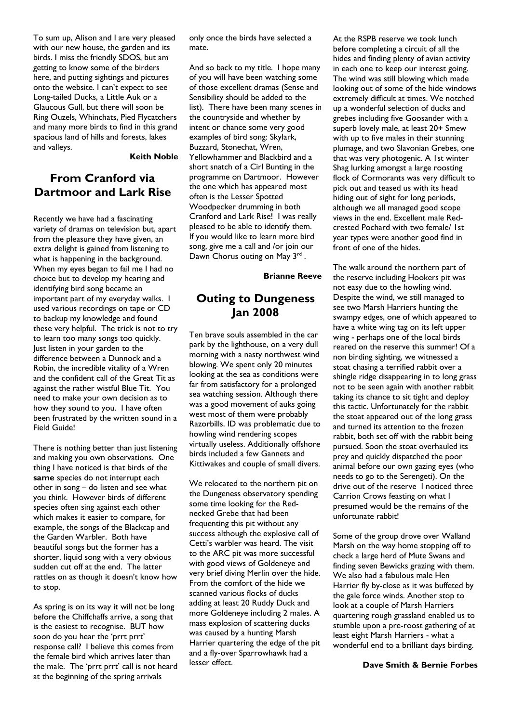To sum up, Alison and I are very pleased with our new house, the garden and its birds. I miss the friendly SDOS, but am getting to know some of the birders here, and putting sightings and pictures onto the website. I can't expect to see Long-tailed Ducks, a Little Auk or a Glaucous Gull, but there will soon be Ring Ouzels, Whinchats, Pied Flycatchers and many more birds to find in this grand spacious land of hills and forests, lakes and valleys.

#### **Keith Noble**

## **From Cranford via Dartmoor and Lark Rise**

Recently we have had a fascinating variety of dramas on television but, apart from the pleasure they have given, an extra delight is gained from listening to what is happening in the background. When my eyes began to fail me I had no choice but to develop my hearing and identifying bird song became an important part of my everyday walks. I used various recordings on tape or CD to backup my knowledge and found these very helpful. The trick is not to try to learn too many songs too quickly. Just listen in your garden to the difference between a Dunnock and a Robin, the incredible vitality of a Wren and the confident call of the Great Tit as against the rather wistful Blue Tit. You need to make your own decision as to how they sound to you. I have often been frustrated by the written sound in a Field Guide!

There is nothing better than just listening and making you own observations. One thing I have noticed is that birds of the **same** species do not interrupt each other in song – do listen and see what you think. However birds of different species often sing against each other which makes it easier to compare, for example, the songs of the Blackcap and the Garden Warbler. Both have beautiful songs but the former has a shorter, liquid song with a very obvious sudden cut off at the end. The latter rattles on as though it doesn't know how to stop.

As spring is on its way it will not be long before the Chiffchaffs arrive, a song that is the easiest to recognise. BUT how soon do you hear the 'prrt prrt' response call? I believe this comes from the female bird which arrives later than the male. The 'prrt prrt' call is not heard at the beginning of the spring arrivals

only once the birds have selected a mate.

And so back to my title. I hope many of you will have been watching some of those excellent dramas (Sense and Sensibility should be added to the list). There have been many scenes in the countryside and whether by intent or chance some very good examples of bird song: Skylark, Buzzard, Stonechat, Wren, Yellowhammer and Blackbird and a short snatch of a Cirl Bunting in the programme on Dartmoor. However the one which has appeared most often is the Lesser Spotted Woodpecker drumming in both Cranford and Lark Rise! I was really pleased to be able to identify them. If you would like to learn more bird song, give me a call and /or join our Dawn Chorus outing on May 3<sup>rd</sup>.

**Brianne Reeve** 

## **Outing to Dungeness Jan 2008**

Ten brave souls assembled in the car park by the lighthouse, on a very dull morning with a nasty northwest wind blowing. We spent only 20 minutes looking at the sea as conditions were far from satisfactory for a prolonged sea watching session. Although there was a good movement of auks going west most of them were probably Razorbills. ID was problematic due to howling wind rendering scopes virtually useless. Additionally offshore birds included a few Gannets and Kittiwakes and couple of small divers.

We relocated to the northern pit on the Dungeness observatory spending some time looking for the Rednecked Grebe that had been frequenting this pit without any success although the explosive call of Cetti's warbler was heard. The visit to the ARC pit was more successful with good views of Goldeneye and very brief diving Merlin over the hide. From the comfort of the hide we scanned various flocks of ducks adding at least 20 Ruddy Duck and more Goldeneye including 2 males. A mass explosion of scattering ducks was caused by a hunting Marsh Harrier quartering the edge of the pit and a fly-over Sparrowhawk had a lesser effect.

At the RSPB reserve we took lunch before completing a circuit of all the hides and finding plenty of avian activity in each one to keep our interest going. The wind was still blowing which made looking out of some of the hide windows extremely difficult at times. We notched up a wonderful selection of ducks and grebes including five Goosander with a superb lovely male, at least 20+ Smew with up to five males in their stunning plumage, and two Slavonian Grebes, one that was very photogenic. A 1st winter Shag lurking amongst a large roosting flock of Cormorants was very difficult to pick out and teased us with its head hiding out of sight for long periods, although we all managed good scope views in the end. Excellent male Redcrested Pochard with two female/ 1st year types were another good find in front of one of the hides.

The walk around the northern part of the reserve including Hookers pit was not easy due to the howling wind. Despite the wind, we still managed to see two Marsh Harriers hunting the swampy edges, one of which appeared to have a white wing tag on its left upper wing - perhaps one of the local birds reared on the reserve this summer! Of a non birding sighting, we witnessed a stoat chasing a terrified rabbit over a shingle ridge disappearing in to long grass not to be seen again with another rabbit taking its chance to sit tight and deploy this tactic. Unfortunately for the rabbit the stoat appeared out of the long grass and turned its attention to the frozen rabbit, both set off with the rabbit being pursued. Soon the stoat overhauled its prey and quickly dispatched the poor animal before our own gazing eyes (who needs to go to the Serengeti). On the drive out of the reserve I noticed three Carrion Crows feasting on what I presumed would be the remains of the unfortunate rabbit!

Some of the group drove over Walland Marsh on the way home stopping off to check a large herd of Mute Swans and finding seven Bewicks grazing with them. We also had a fabulous male Hen Harrier fly by-close as it was buffeted by the gale force winds. Another stop to look at a couple of Marsh Harriers quartering rough grassland enabled us to stumble upon a pre-roost gathering of at least eight Marsh Harriers - what a wonderful end to a brilliant days birding.

#### **Dave Smith & Bernie Forbes**